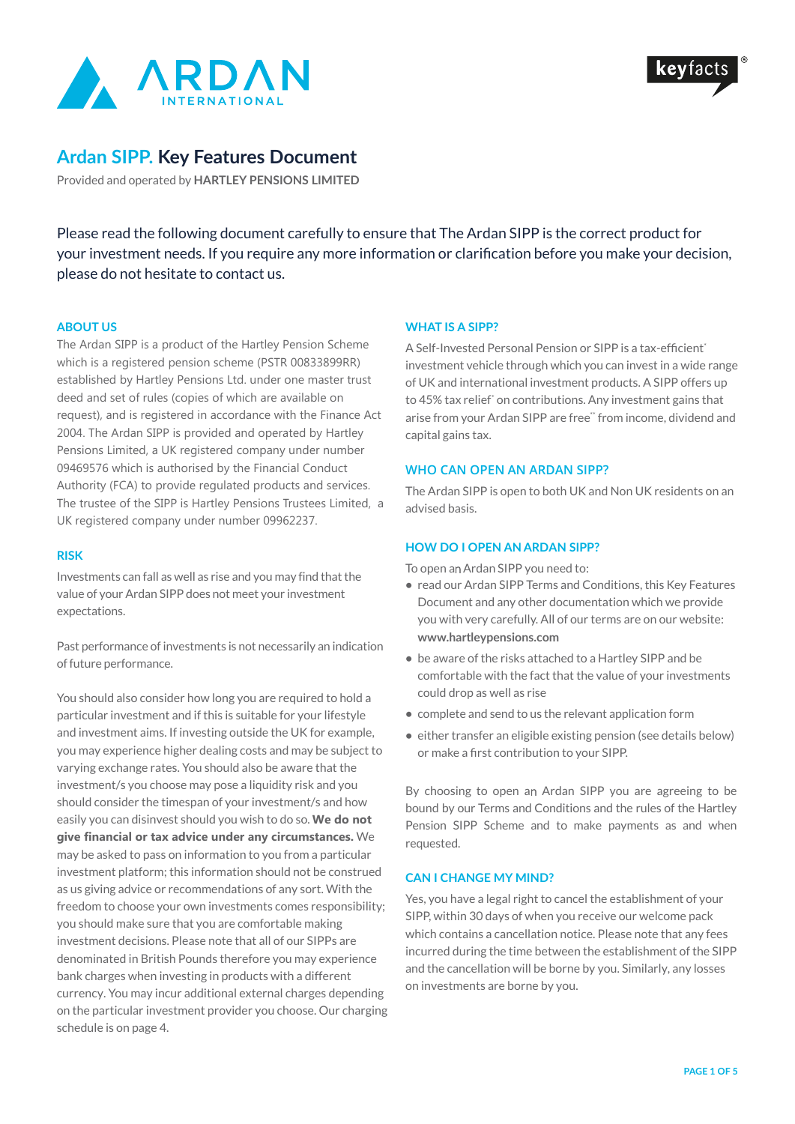



# **Ardan SIPP. Key Features Document**

Provided and operated by **HARTLEY PENSIONS LIMITED**

Please read the following document carefully to ensure that The Ardan SIPP is the correct product for your investment needs. If you require any more information or clarification before you make your decision, please do not hesitate to contact us.

## **ABOUT US**

The Ardan SIPP is a product of the Hartley Pension Scheme which is a registered pension scheme (PSTR 00833899RR) established by Hartley Pensions Ltd. under one master trust deed and set of rules (copies of which are available on request), and is registered in accordance with the Finance Act 2004. The Ardan SIPP is provided and operated by Hartley Pensions Limited, a UK registered company under number 09469576 which is authorised by the Financial Conduct Authority (FCA) to provide regulated products and services. The trustee of the SIPP is Hartley Pensions Trustees Limited, a UK registered company under number 09962237.

#### **RISK**

Investments can fall as well as rise and you may find that the value of your Ardan SIPP does not meet your investment expectations.

Past performance of investments is not necessarily an indication of future performance.

You should also consider how long you are required to hold a particular investment and if this is suitable for your lifestyle and investment aims. If investing outside the UK for example, you may experience higher dealing costs and may be subject to varying exchange rates. You should also be aware that the investment/s you choose may pose a liquidity risk and you should consider the timespan of your investment/s and how easily you can disinvest should you wish to do so. **We do not give financial or tax advice under any circumstances.** We may be asked to pass on information to you from a particular investment platform; this information should not be construed as us giving advice or recommendations of any sort. With the freedom to choose your own investments comes responsibility; you should make sure that you are comfortable making investment decisions. Please note that all of our SIPPs are denominated in British Pounds therefore you may experience bank charges when investing in products with a different currency. You may incur additional external charges depending on the particular investment provider you choose. Our charging schedule is on page 4.

## **WHAT IS A SIPP?**

A Self-Invested Personal Pension or SIPP is a tax-efficient<sup>\*</sup> investment vehicle through which you can invest in a wide range of UK and international investment products. A SIPP offers up to 45% tax relief<sup>\*</sup> on contributions. Any investment gains that arise from your Ardan SIPP are free\* from income, dividend and capital gains tax.

## **WHO CAN OPEN AN ARDAN SIPP?**

The Ardan SIPP is open to both UK and Non UK residents on an advised basis.

## **HOW DO I OPEN AN ARDAN SIPP?**

To open an Ardan SIPP you need to:

- **•** read our Ardan SIPP Terms and Conditions, this Key Features Document and any other documentation which we provide you with very carefully. All of our terms are on our website: **www.hartleypensions.com**
- **•** be aware of the risks attached to a Hartley SIPP and be comfortable with the fact that the value of your investments could drop as well as rise
- **•** complete and send to us the relevant application form
- **•** either transfer an eligible existing pension (see details below) or make a first contribution to your SIPP.

By choosing to open an Ardan SIPP you are agreeing to be bound by our Terms and Conditions and the rules of the Hartley Pension SIPP Scheme and to make payments as and when requested.

## **CAN I CHANGE MY MIND?**

Yes, you have a legal right to cancel the establishment of your SIPP, within 30 days of when you receive our welcome pack which contains a cancellation notice. Please note that any fees incurred during the time between the establishment of the SIPP and the cancellation will be borne by you. Similarly, any losses on investments are borne by you.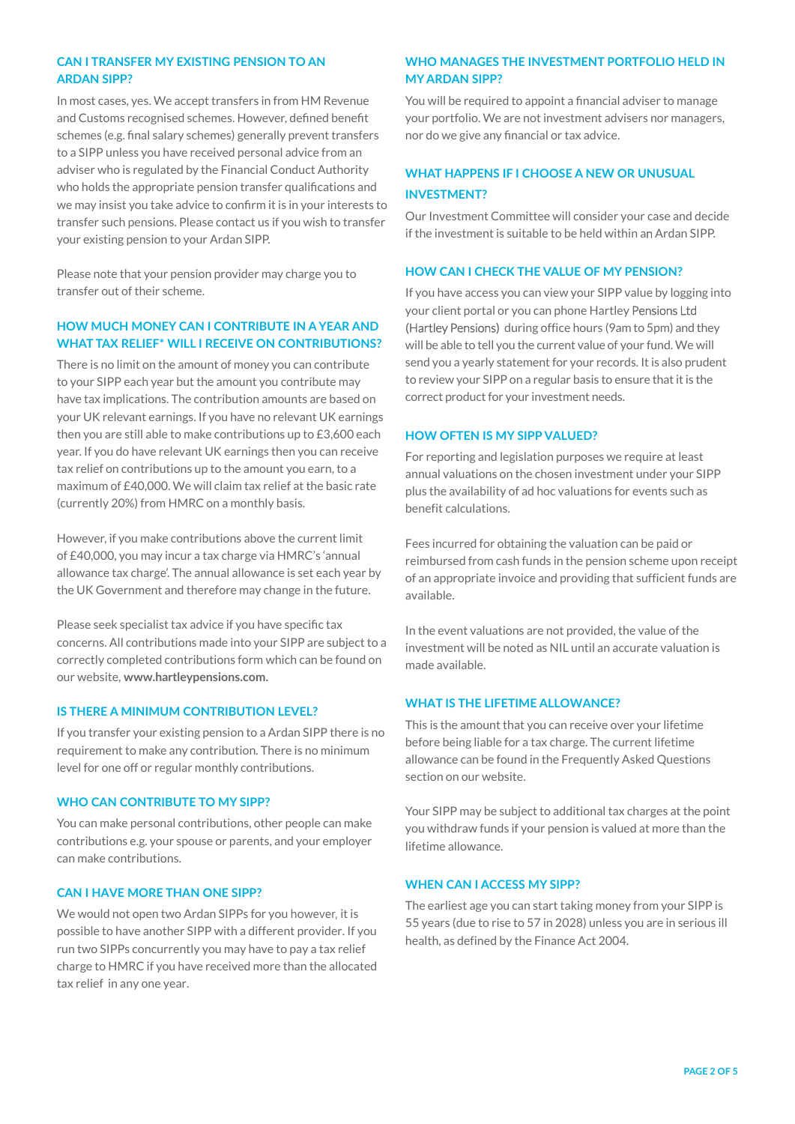## **CAN I TRANSFER MY EXISTING PENSION TO AN ARDAN SIPP?**

In most cases, yes. We accept transfers in from HM Revenue and Customs recognised schemes. However, defined benefit schemes (e.g. final salary schemes) generally prevent transfers to a SIPP unless you have received personal advice from an adviser who is regulated by the Financial Conduct Authority who holds the appropriate pension transfer qualifications and we may insist you take advice to confirm it is in your interests to transfer such pensions. Please contact us if you wish to transfer your existing pension to your Ardan SIPP.

Please note that your pension provider may charge you to transfer out of their scheme.

## **HOW MUCH MONEY CAN I CONTRIBUTE IN A YEAR AND WHAT TAX RELIEF\* WILL I RECEIVE ON CONTRIBUTIONS?**

There is no limit on the amount of money you can contribute to your SIPP each year but the amount you contribute may have tax implications. The contribution amounts are based on your UK relevant earnings. If you have no relevant UK earnings then you are still able to make contributions up to £3,600 each year. If you do have relevant UK earnings then you can receive tax relief on contributions up to the amount you earn, to a maximum of £40,000. We will claim tax relief at the basic rate (currently 20%) from HMRC on a monthly basis.

However, if you make contributions above the current limit of £40,000, you may incur a tax charge via HMRC's 'annual allowance tax charge'. The annual allowance is set each year by the UK Government and therefore may change in the future.

Please seek specialist tax advice if you have specific tax concerns. All contributions made into your SIPP are subject to a correctly completed contributions form which can be found on our website, **www.hartleypensions.com.**

## **IS THERE A MINIMUM CONTRIBUTION LEVEL?**

If you transfer your existing pension to a Ardan SIPP there is no requirement to make any contribution. There is no minimum level for one off or regular monthly contributions.

## **WHO CAN CONTRIBUTE TO MY SIPP?**

You can make personal contributions, other people can make contributions e.g. your spouse or parents, and your employer can make contributions.

## **CAN I HAVE MORE THAN ONE SIPP?**

We would not open two Ardan SIPPs for you however, it is possible to have another SIPP with a different provider. If you run two SIPPs concurrently you may have to pay a tax relief charge to HMRC if you have received more than the allocated tax relief in any one year.

## **WHO MANAGES THE INVESTMENT PORTFOLIO HELD IN MY ARDAN SIPP?**

You will be required to appoint a financial adviser to manage your portfolio. We are not investment advisers nor managers, nor do we give any financial or tax advice.

## **WHAT HAPPENS IF I CHOOSE A NEW OR UNUSUAL INVESTMENT?**

Our Investment Committee will consider your case and decide if the investment is suitable to be held within an Ardan SIPP.

## **HOW CAN I CHECK THE VALUE OF MY PENSION?**

If you have access you can view your SIPP value by logging into your client portal or you can phone Hartley Pensions Ltd (Hartley Pensions) during office hours (9am to 5pm) and they will be able to tell you the current value of your fund. We will send you a yearly statement for your records. It is also prudent to review your SIPP on a regular basis to ensure that it is the correct product for your investment needs.

#### **HOW OFTEN IS MY SIPP VALUED?**

For reporting and legislation purposes we require at least annual valuations on the chosen investment under your SIPP plus the availability of ad hoc valuations for events such as benefit calculations.

Fees incurred for obtaining the valuation can be paid or reimbursed from cash funds in the pension scheme upon receipt of an appropriate invoice and providing that sufficient funds are available.

In the event valuations are not provided, the value of the investment will be noted as NIL until an accurate valuation is made available.

## **WHAT IS THE LIFETIME ALLOWANCE?**

This is the amount that you can receive over your lifetime before being liable for a tax charge. The current lifetime allowance can be found in the Frequently Asked Questions section on our website.

Your SIPP may be subject to additional tax charges at the point you withdraw funds if your pension is valued at more than the lifetime allowance.

#### **WHEN CAN I ACCESS MY SIPP?**

The earliest age you can start taking money from your SIPP is 55 years (due to rise to 57 in 2028) unless you are in serious ill health, as defined by the Finance Act 2004.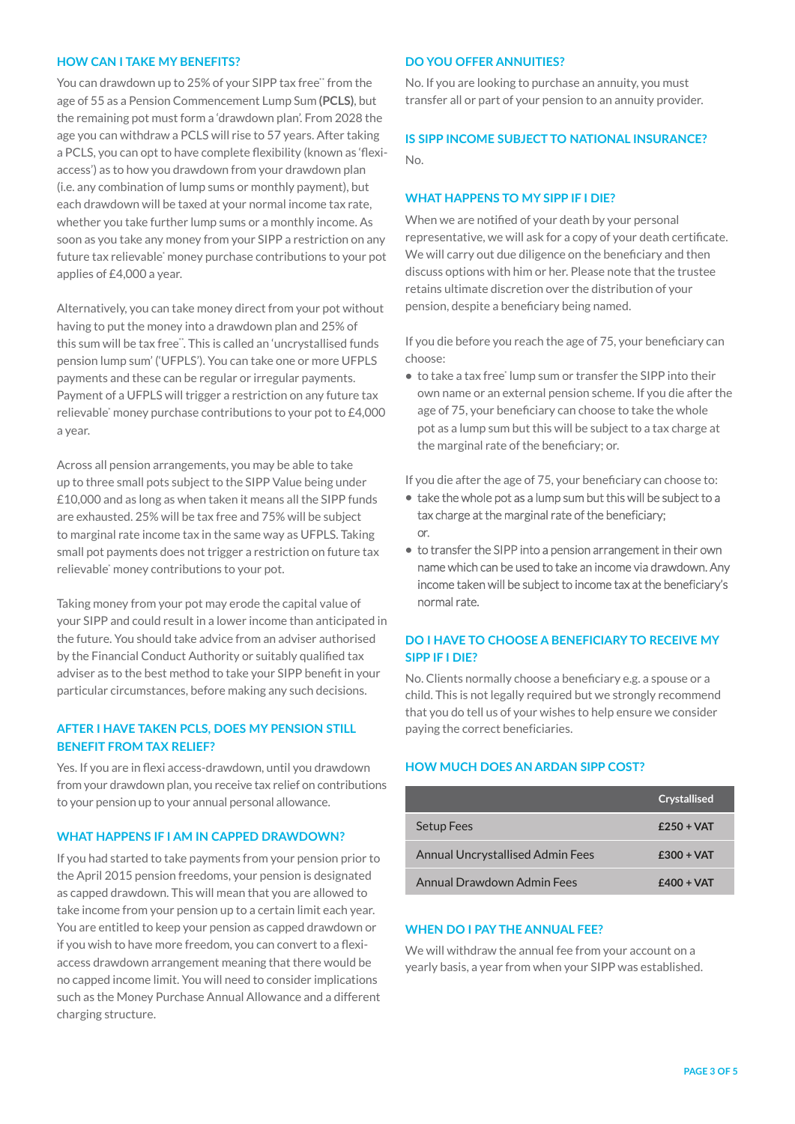#### **HOW CAN I TAKE MY BENEFITS?**

You can drawdown up to 25% of your SIPP tax free\*\* from the age of 55 as a Pension Commencement Lump Sum **(PCLS)**, but the remaining pot must form a 'drawdown plan'. From 2028 the age you can withdraw a PCLS will rise to 57 years. After taking a PCLS, you can opt to have complete flexibility (known as 'flexiaccess') as to how you drawdown from your drawdown plan (i.e. any combination of lump sums or monthly payment), but each drawdown will be taxed at your normal income tax rate, whether you take further lump sums or a monthly income. As soon as you take any money from your SIPP a restriction on any future tax relievable<sup>\*</sup> money purchase contributions to your pot applies of £4,000 a year.

Alternatively, you can take money direct from your pot without having to put the money into a drawdown plan and 25% of this sum will be tax free". This is called an 'uncrystallised funds pension lump sum' ('UFPLS'). You can take one or more UFPLS payments and these can be regular or irregular payments. Payment of a UFPLS will trigger a restriction on any future tax relievable\* money purchase contributions to your pot to £4,000 a year.

Across all pension arrangements, you may be able to take up to three small pots subject to the SIPP Value being under £10,000 and as long as when taken it means all the SIPP funds are exhausted. 25% will be tax free and 75% will be subject to marginal rate income tax in the same way as UFPLS. Taking small pot payments does not trigger a restriction on future tax relievable\* money contributions to your pot.

Taking money from your pot may erode the capital value of your SIPP and could result in a lower income than anticipated in the future. You should take advice from an adviser authorised by the Financial Conduct Authority or suitably qualified tax adviser as to the best method to take your SIPP benefit in your particular circumstances, before making any such decisions.

## **AFTER I HAVE TAKEN PCLS, DOES MY PENSION STILL BENEFIT FROM TAX RELIEF?**

Yes. If you are in flexi access-drawdown, until you drawdown from your drawdown plan, you receive tax relief on contributions to your pension up to your annual personal allowance.

## **WHAT HAPPENS IF I AM IN CAPPED DRAWDOWN?**

If you had started to take payments from your pension prior to the April 2015 pension freedoms, your pension is designated as capped drawdown. This will mean that you are allowed to take income from your pension up to a certain limit each year. You are entitled to keep your pension as capped drawdown or if you wish to have more freedom, you can convert to a flexiaccess drawdown arrangement meaning that there would be no capped income limit. You will need to consider implications such as the Money Purchase Annual Allowance and a different charging structure.

#### **DO YOU OFFER ANNUITIES?**

No. If you are looking to purchase an annuity, you must transfer all or part of your pension to an annuity provider.

## **IS SIPP INCOME SUBJECT TO NATIONAL INSURANCE?**  $N_{\Omega}$

#### **WHAT HAPPENS TO MY SIPP IF I DIE?**

When we are notified of your death by your personal representative, we will ask for a copy of your death certificate. We will carry out due diligence on the beneficiary and then discuss options with him or her. Please note that the trustee retains ultimate discretion over the distribution of your pension, despite a beneficiary being named.

If you die before you reach the age of 75, your beneficiary can choose:

**•** to take a tax free<sup>\*</sup> lump sum or transfer the SIPP into their own name or an external pension scheme. If you die after the age of 75, your beneficiary can choose to take the whole pot as a lump sum but this will be subject to a tax charge at the marginal rate of the beneficiary; or.

If you die after the age of 75, your beneficiary can choose to:

- **•** take the whole pot as a lump sum but this will be subject to a tax charge at the marginal rate of the beneficiary; or.
- **•** to transfer the SIPP into a pension arrangement in their own name which can be used to take an income via drawdown. Any income taken will be subject to income tax at the beneficiary's normal rate.

## **DO I HAVE TO CHOOSE A BENEFICIARY TO RECEIVE MY SIPP IF I DIE?**

No. Clients normally choose a beneficiary e.g. a spouse or a child. This is not legally required but we strongly recommend that you do tell us of your wishes to help ensure we consider paying the correct beneficiaries.

## **HOW MUCH DOES AN ARDAN SIPP COST?**

|                                         | <b>Crystallised</b> |
|-----------------------------------------|---------------------|
| <b>Setup Fees</b>                       | $f250 + VAT$        |
| <b>Annual Uncrystallised Admin Fees</b> | $f300 + VAT$        |
| Annual Drawdown Admin Fees              | $f400 + VAT$        |

### **WHEN DO I PAY THE ANNUAL FEE?**

We will withdraw the annual fee from your account on a yearly basis, a year from when your SIPP was established.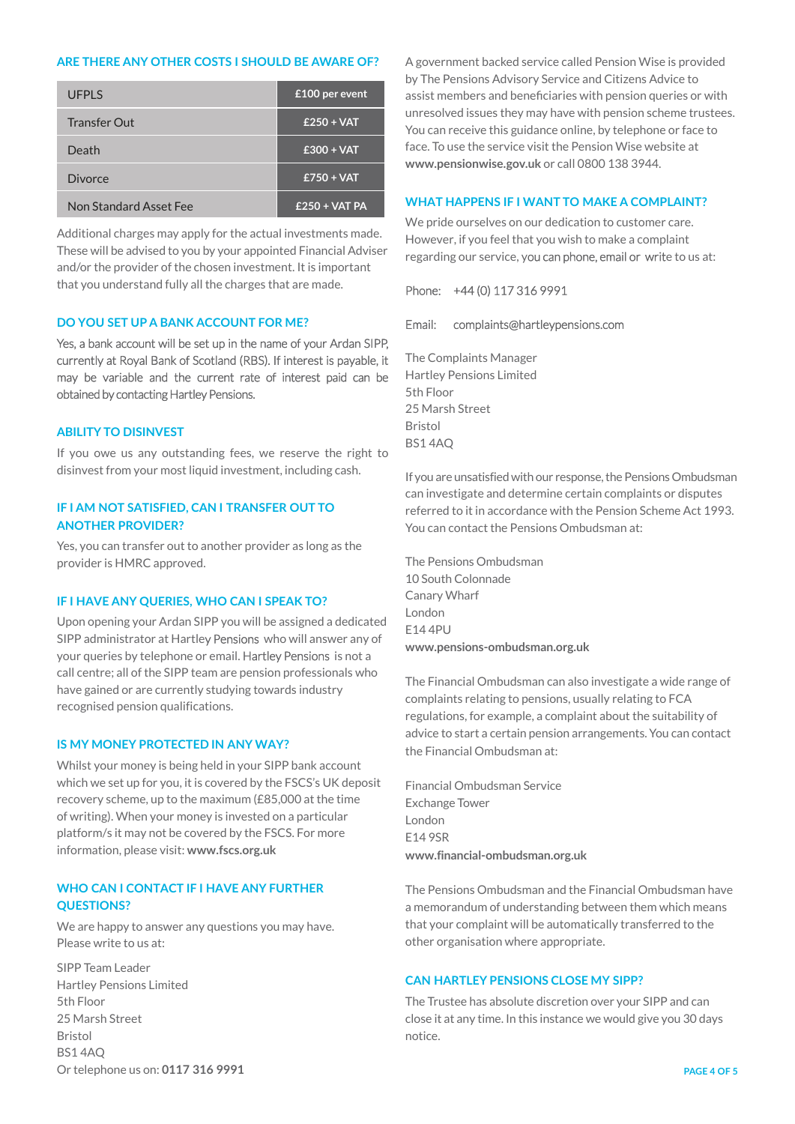#### **ARE THERE ANY OTHER COSTS I SHOULD BE AWARE OF?**

| <b>UFPLS</b>           | £100 per event  |
|------------------------|-----------------|
| Transfer Out           | $£250 + VAT$    |
| Death                  | $£300 + VAT$    |
| Divorce                | $£750 + VAT$    |
| Non Standard Asset Fee | $£250 + VAT PA$ |

Additional charges may apply for the actual investments made. These will be advised to you by your appointed Financial Adviser and/or the provider of the chosen investment. It is important that you understand fully all the charges that are made.

#### **DO YOU SET UP A BANK ACCOUNT FOR ME?**

Yes, a bank account will be set up in the name of your Ardan SIPP, currently at Royal Bank of Scotland (RBS). If interest is payable, it may be variable and the current rate of interest paid can be obtained by contacting Hartley Pensions.

#### **ABILITY TO DISINVEST**

If you owe us any outstanding fees, we reserve the right to disinvest from your most liquid investment, including cash.

## **IF I AM NOT SATISFIED, CAN I TRANSFER OUT TO ANOTHER PROVIDER?**

Yes, you can transfer out to another provider as long as the provider is HMRC approved.

## **IF I HAVE ANY QUERIES, WHO CAN I SPEAK TO?**

Upon opening your Ardan SIPP you will be assigned a dedicated SIPP administrator at Hartley Pensions who will answer any of your queries by telephone or email. Hartley Pensions is not a call centre; all of the SIPP team are pension professionals who have gained or are currently studying towards industry recognised pension qualifications.

#### **IS MY MONEY PROTECTED IN ANY WAY?**

Whilst your money is being held in your SIPP bank account which we set up for you, it is covered by the FSCS's UK deposit recovery scheme, up to the maximum (£85,000 at the time of writing). When your money is invested on a particular platform/s it may not be covered by the FSCS. For more information, please visit: **www.fscs.org.uk**

## **WHO CAN I CONTACT IF I HAVE ANY FURTHER QUESTIONS?**

We are happy to answer any questions you may have. Please write to us at:

SIPP Team Leader Hartley Pensions Limited 5th Floor 25 Marsh Street Bristol BS1 4AQ Or telephone us on: **0117 316 9991** A government backed service called Pension Wise is provided by The Pensions Advisory Service and Citizens Advice to assist members and beneficiaries with pension queries or with unresolved issues they may have with pension scheme trustees. You can receive this guidance online, by telephone or face to face. To use the service visit the Pension Wise website at **www.pensionwise.gov.uk** or call 0800 138 3944.

## **WHAT HAPPENS IF I WANT TO MAKE A COMPLAINT?**

We pride ourselves on our dedication to customer care. However, if you feel that you wish to make a complaint regarding our service, you can phone, email or write to us at:

## Phone: +44 (0) 117 316 9991

#### Email: complaints@hartleypensions.com

The Complaints Manager Hartley Pensions Limited 5th Floor 25 Marsh Street Bristol BS1 4AQ

If you are unsatisfied with our response, the Pensions Ombudsman can investigate and determine certain complaints or disputes referred to it in accordance with the Pension Scheme Act 1993. You can contact the Pensions Ombudsman at:

The Pensions Ombudsman 10 South Colonnade Canary Wharf London E14 4PU **www.pensions-ombudsman.org.uk**

The Financial Ombudsman can also investigate a wide range of complaints relating to pensions, usually relating to FCA regulations, for example, a complaint about the suitability of advice to start a certain pension arrangements. You can contact the Financial Ombudsman at:

Financial Ombudsman Service Exchange Tower London E14 9SR **www.financial-ombudsman.org.uk**

The Pensions Ombudsman and the Financial Ombudsman have a memorandum of understanding between them which means that your complaint will be automatically transferred to the other organisation where appropriate.

## **CAN HARTLEY PENSIONS CLOSE MY SIPP?**

The Trustee has absolute discretion over your SIPP and can close it at any time. In this instance we would give you 30 days notice.